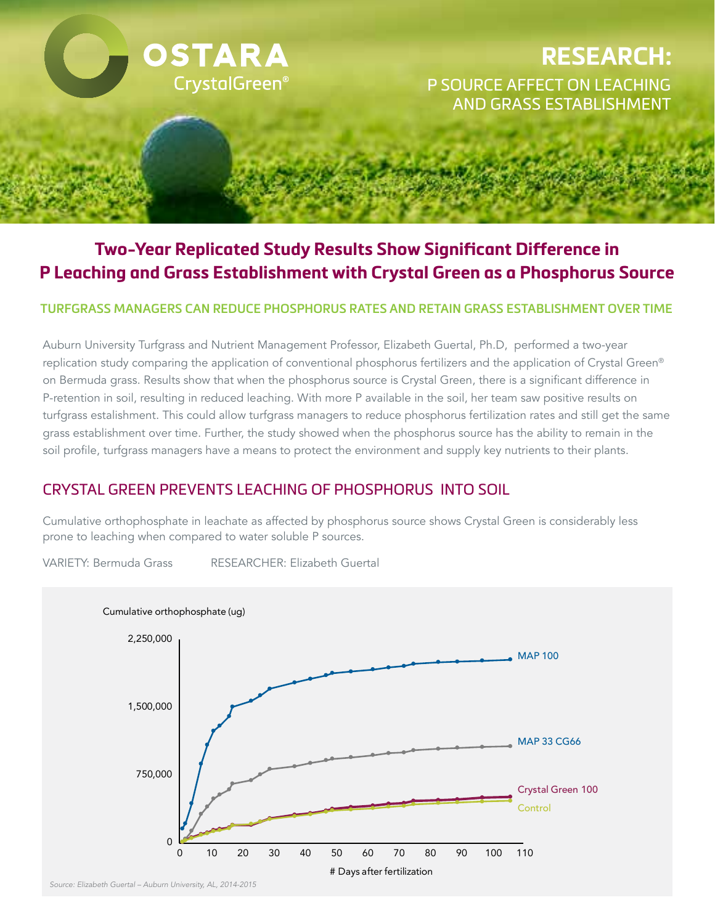

# **Two-Year Replicated Study Results Show Significant Difference in P Leaching and Grass Establishment with Crystal Green as a Phosphorus Source**

#### **TURFGRASS MANAGERS CAN REDUCE PHOSPHORUS RATES AND RETAIN GRASS ESTABLISHMENT OVER TIME**

Auburn University Turfgrass and Nutrient Management Professor, Elizabeth Guertal, Ph.D, performed a two-year replication study comparing the application of conventional phosphorus fertilizers and the application of Crystal Green® on Bermuda grass. Results show that when the phosphorus source is Crystal Green, there is a significant difference in P-retention in soil, resulting in reduced leaching. With more P available in the soil, her team saw positive results on turfgrass estalishment. This could allow turfgrass managers to reduce phosphorus fertilization rates and still get the same grass establishment over time. Further, the study showed when the phosphorus source has the ability to remain in the soil profile, turfgrass managers have a means to protect the environment and supply key nutrients to their plants.

### CRYSTAL GREEN PREVENTS LEACHING OF PHOSPHORUS INTO SOIL

prone to leaching when compared to water soluble P sources. Cumulative orthophosphate in leachate as affected by phosphorus source shows Crystal Green is considerably less

VARIETY: Bermuda Grass RESEARCHER: Elizabeth Guertal



*Source: Elizabeth Guertal – Auburn University, AL, 2014-2015*